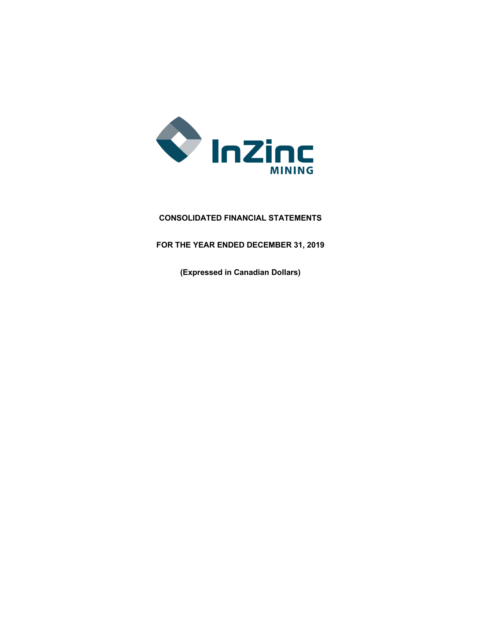

# **CONSOLIDATED FINANCIAL STATEMENTS**

**FOR THE YEAR ENDED DECEMBER 31, 2019**

**(Expressed in Canadian Dollars)**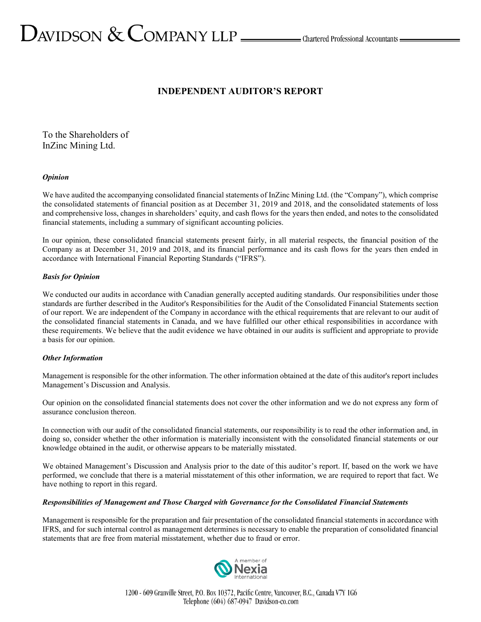# $D_{\text{AVIDSON}} \ \&\ \text{COMPANY LLP} \_\text{\tiny{LIP}}$  Chartered Professional Accountants  $D_{\text{AVIDSON}}$

# **INDEPENDENT AUDITOR'S REPORT**

To the Shareholders of InZinc Mining Ltd.

#### *Opinion*

We have audited the accompanying consolidated financial statements of InZinc Mining Ltd. (the "Company"), which comprise the consolidated statements of financial position as at December 31, 2019 and 2018, and the consolidated statements of loss and comprehensive loss, changes in shareholders' equity, and cash flows for the years then ended, and notes to the consolidated financial statements, including a summary of significant accounting policies.

In our opinion, these consolidated financial statements present fairly, in all material respects, the financial position of the Company as at December 31, 2019 and 2018, and its financial performance and its cash flows for the years then ended in accordance with International Financial Reporting Standards ("IFRS").

#### *Basis for Opinion*

We conducted our audits in accordance with Canadian generally accepted auditing standards. Our responsibilities under those standards are further described in the Auditor's Responsibilities for the Audit of the Consolidated Financial Statements section of our report. We are independent of the Company in accordance with the ethical requirements that are relevant to our audit of the consolidated financial statements in Canada, and we have fulfilled our other ethical responsibilities in accordance with these requirements. We believe that the audit evidence we have obtained in our audits is sufficient and appropriate to provide a basis for our opinion.

#### *Other Information*

Management is responsible for the other information. The other information obtained at the date of this auditor's report includes Management's Discussion and Analysis.

Our opinion on the consolidated financial statements does not cover the other information and we do not express any form of assurance conclusion thereon.

In connection with our audit of the consolidated financial statements, our responsibility is to read the other information and, in doing so, consider whether the other information is materially inconsistent with the consolidated financial statements or our knowledge obtained in the audit, or otherwise appears to be materially misstated.

We obtained Management's Discussion and Analysis prior to the date of this auditor's report. If, based on the work we have performed, we conclude that there is a material misstatement of this other information, we are required to report that fact. We have nothing to report in this regard.

#### *Responsibilities of Management and Those Charged with Governance for the Consolidated Financial Statements*

Management is responsible for the preparation and fair presentation of the consolidated financial statements in accordance with IFRS, and for such internal control as management determines is necessary to enable the preparation of consolidated financial statements that are free from material misstatement, whether due to fraud or error.

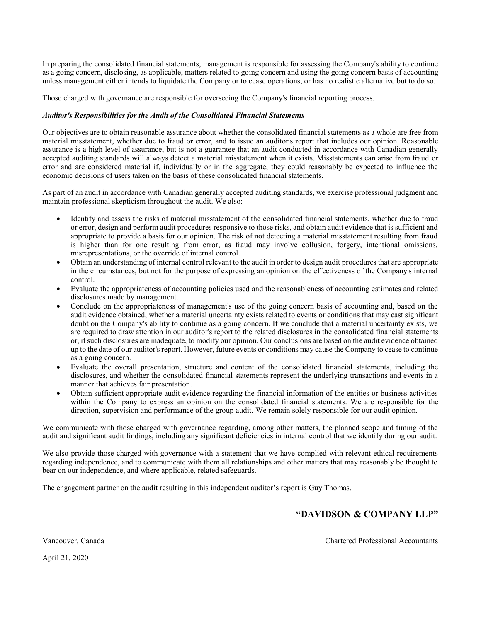In preparing the consolidated financial statements, management is responsible for assessing the Company's ability to continue as a going concern, disclosing, as applicable, matters related to going concern and using the going concern basis of accounting unless management either intends to liquidate the Company or to cease operations, or has no realistic alternative but to do so.

Those charged with governance are responsible for overseeing the Company's financial reporting process.

#### *Auditor's Responsibilities for the Audit of the Consolidated Financial Statements*

Our objectives are to obtain reasonable assurance about whether the consolidated financial statements as a whole are free from material misstatement, whether due to fraud or error, and to issue an auditor's report that includes our opinion. Reasonable assurance is a high level of assurance, but is not a guarantee that an audit conducted in accordance with Canadian generally accepted auditing standards will always detect a material misstatement when it exists. Misstatements can arise from fraud or error and are considered material if, individually or in the aggregate, they could reasonably be expected to influence the economic decisions of users taken on the basis of these consolidated financial statements.

As part of an audit in accordance with Canadian generally accepted auditing standards, we exercise professional judgment and maintain professional skepticism throughout the audit. We also:

- Identify and assess the risks of material misstatement of the consolidated financial statements, whether due to fraud or error, design and perform audit procedures responsive to those risks, and obtain audit evidence that is sufficient and appropriate to provide a basis for our opinion. The risk of not detecting a material misstatement resulting from fraud is higher than for one resulting from error, as fraud may involve collusion, forgery, intentional omissions, misrepresentations, or the override of internal control.
- Obtain an understanding of internal control relevant to the audit in order to design audit procedures that are appropriate in the circumstances, but not for the purpose of expressing an opinion on the effectiveness of the Company's internal control.
- Evaluate the appropriateness of accounting policies used and the reasonableness of accounting estimates and related disclosures made by management.
- Conclude on the appropriateness of management's use of the going concern basis of accounting and, based on the audit evidence obtained, whether a material uncertainty exists related to events or conditions that may cast significant doubt on the Company's ability to continue as a going concern. If we conclude that a material uncertainty exists, we are required to draw attention in our auditor's report to the related disclosures in the consolidated financial statements or, if such disclosures are inadequate, to modify our opinion. Our conclusions are based on the audit evidence obtained up to the date of our auditor's report. However, future events or conditions may cause the Company to cease to continue as a going concern.
- Evaluate the overall presentation, structure and content of the consolidated financial statements, including the disclosures, and whether the consolidated financial statements represent the underlying transactions and events in a manner that achieves fair presentation.
- Obtain sufficient appropriate audit evidence regarding the financial information of the entities or business activities within the Company to express an opinion on the consolidated financial statements. We are responsible for the direction, supervision and performance of the group audit. We remain solely responsible for our audit opinion.

We communicate with those charged with governance regarding, among other matters, the planned scope and timing of the audit and significant audit findings, including any significant deficiencies in internal control that we identify during our audit.

We also provide those charged with governance with a statement that we have complied with relevant ethical requirements regarding independence, and to communicate with them all relationships and other matters that may reasonably be thought to bear on our independence, and where applicable, related safeguards.

The engagement partner on the audit resulting in this independent auditor's report is Guy Thomas.

# **"DAVIDSON & COMPANY LLP"**

Vancouver, Canada Chartered Professional Accountants

April 21, 2020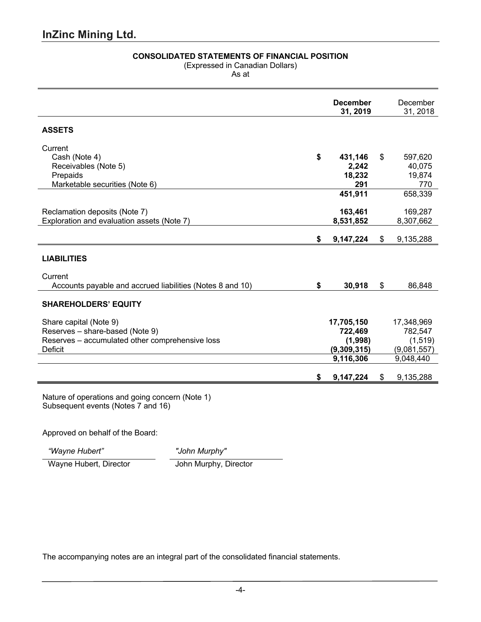# **CONSOLIDATED STATEMENTS OF FINANCIAL POSITION**

(Expressed in Canadian Dollars)

As at

|                                                           | <b>December</b><br>31, 2019 | December<br>31, 2018 |
|-----------------------------------------------------------|-----------------------------|----------------------|
| <b>ASSETS</b>                                             |                             |                      |
| Current                                                   |                             |                      |
| Cash (Note 4)                                             | \$<br>431,146               | \$<br>597,620        |
| Receivables (Note 5)<br>Prepaids                          | 2,242<br>18,232             | 40,075<br>19,874     |
| Marketable securities (Note 6)                            | 291                         | 770                  |
|                                                           | 451,911                     | 658,339              |
|                                                           |                             |                      |
| Reclamation deposits (Note 7)                             | 163,461                     | 169,287              |
| Exploration and evaluation assets (Note 7)                | 8,531,852                   | 8,307,662            |
|                                                           | \$<br>9,147,224             | \$<br>9,135,288      |
| <b>LIABILITIES</b>                                        |                             |                      |
|                                                           |                             |                      |
| Current                                                   |                             |                      |
| Accounts payable and accrued liabilities (Notes 8 and 10) | \$<br>30,918                | \$<br>86,848         |
| <b>SHAREHOLDERS' EQUITY</b>                               |                             |                      |
| Share capital (Note 9)                                    | 17,705,150                  | 17,348,969           |
| Reserves - share-based (Note 9)                           | 722,469                     | 782,547              |
| Reserves - accumulated other comprehensive loss           | (1,998)                     | (1,519)              |
| <b>Deficit</b>                                            | (9,309,315)                 | (9,081,557)          |
|                                                           | 9,116,306                   | 9,048,440            |
|                                                           | \$<br>9,147,224             | \$<br>9,135,288      |
| Nature of operations and going concern (Note 1)           |                             |                      |

Nature of operations and going concern (Note 1) Subsequent events (Notes 7 and 16)

Approved on behalf of the Board:

*"Wayne Hubert" "John Murphy"*

Wayne Hubert, Director John Murphy, Director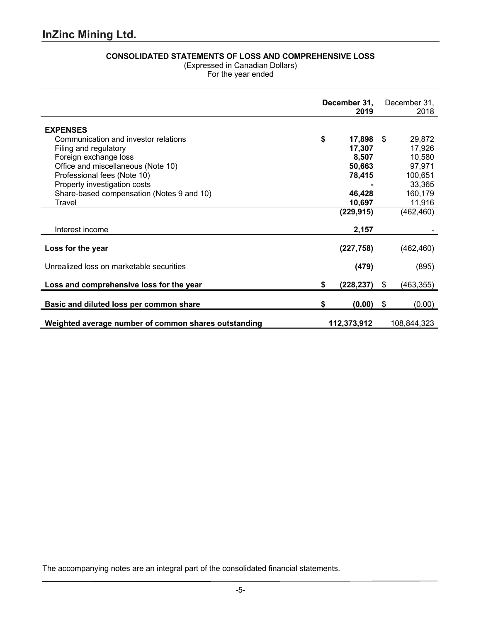# **CONSOLIDATED STATEMENTS OF LOSS AND COMPREHENSIVE LOSS**

(Expressed in Canadian Dollars) For the year ended

|                                                      | December 31,<br>2019 |             |     | December 31,<br>2018 |
|------------------------------------------------------|----------------------|-------------|-----|----------------------|
| <b>EXPENSES</b>                                      |                      |             |     |                      |
| Communication and investor relations                 | \$                   | 17,898      | -\$ | 29,872               |
| Filing and regulatory                                |                      | 17,307      |     | 17,926               |
| Foreign exchange loss                                |                      | 8,507       |     | 10,580               |
| Office and miscellaneous (Note 10)                   |                      | 50,663      |     | 97,971               |
| Professional fees (Note 10)                          |                      | 78,415      |     | 100,651              |
| Property investigation costs                         |                      |             |     | 33,365               |
| Share-based compensation (Notes 9 and 10)            |                      | 46,428      |     | 160,179              |
| Travel                                               |                      | 10,697      |     | 11,916               |
|                                                      |                      | (229, 915)  |     | (462, 460)           |
|                                                      |                      |             |     |                      |
| Interest income                                      |                      | 2,157       |     |                      |
|                                                      |                      |             |     |                      |
| Loss for the year                                    |                      | (227, 758)  |     | (462, 460)           |
|                                                      |                      |             |     |                      |
| Unrealized loss on marketable securities             |                      | (479)       |     | (895)                |
|                                                      |                      |             |     |                      |
| Loss and comprehensive loss for the year             | S                    | (228, 237)  | \$  | (463, 355)           |
|                                                      |                      |             |     |                      |
| Basic and diluted loss per common share              | S                    | (0.00)      | \$  | (0.00)               |
|                                                      |                      |             |     |                      |
| Weighted average number of common shares outstanding |                      | 112,373,912 |     | 108,844,323          |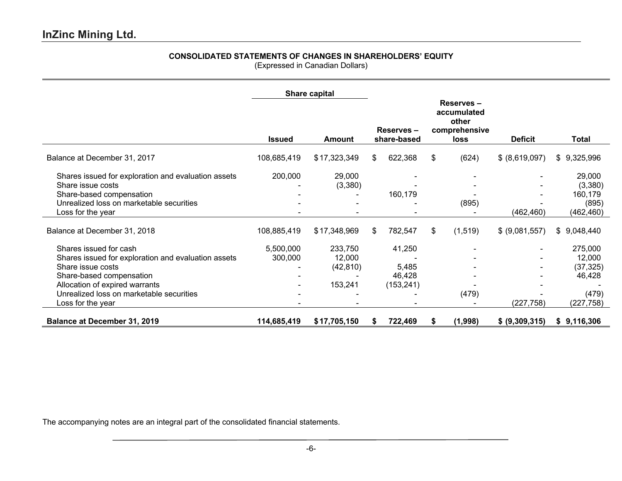# **CONSOLIDATED STATEMENTS OF CHANGES IN SHAREHOLDERS' EQUITY**

(Expressed in Canadian Dollars)

|                                                                                                                                                                                                                                   |                      | Share capital                             |     |                                         |                                                            |                |                                                                 |
|-----------------------------------------------------------------------------------------------------------------------------------------------------------------------------------------------------------------------------------|----------------------|-------------------------------------------|-----|-----------------------------------------|------------------------------------------------------------|----------------|-----------------------------------------------------------------|
|                                                                                                                                                                                                                                   | <b>Issued</b>        | Amount                                    |     | Reserves-<br>share-based                | Reserves-<br>accumulated<br>other<br>comprehensive<br>loss | <b>Deficit</b> | <b>Total</b>                                                    |
| Balance at December 31, 2017                                                                                                                                                                                                      | 108,685,419          | \$17,323,349                              | \$. | 622,368                                 | \$<br>(624)                                                | \$ (8,619,097) | \$9,325,996                                                     |
| Shares issued for exploration and evaluation assets<br>Share issue costs<br>Share-based compensation<br>Unrealized loss on marketable securities<br>Loss for the year                                                             | 200,000              | 29,000<br>(3,380)                         |     | 160,179                                 | (895)                                                      | (462, 460)     | 29,000<br>(3,380)<br>160,179<br>(895)<br>(462, 460)             |
| Balance at December 31, 2018                                                                                                                                                                                                      | 108,885,419          | \$17,348,969                              | \$. | 782,547                                 | \$<br>(1, 519)                                             | \$ (9,081,557) | \$9,048,440                                                     |
| Shares issued for cash<br>Shares issued for exploration and evaluation assets<br>Share issue costs<br>Share-based compensation<br>Allocation of expired warrants<br>Unrealized loss on marketable securities<br>Loss for the year | 5,500,000<br>300,000 | 233,750<br>12,000<br>(42, 810)<br>153,241 |     | 41,250<br>5,485<br>46,428<br>(153, 241) | (479)                                                      | (227, 758)     | 275,000<br>12,000<br>(37, 325)<br>46,428<br>(479)<br>(227, 758) |
| <b>Balance at December 31, 2019</b>                                                                                                                                                                                               | 114,685,419          | \$17,705,150                              |     | 722,469                                 | (1,998)                                                    | \$ (9,309,315) | \$9,116,306                                                     |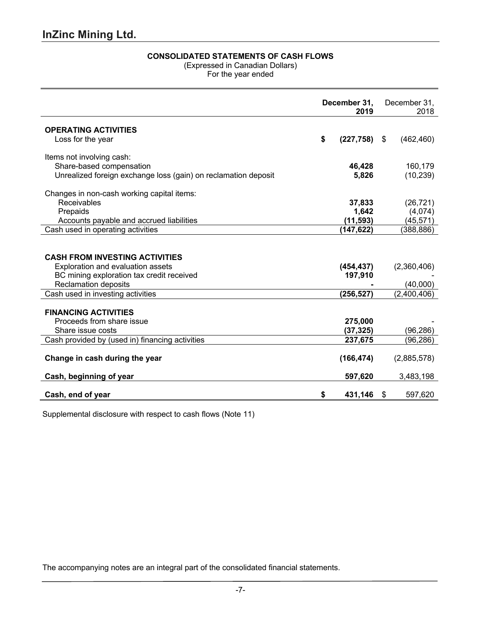# **CONSOLIDATED STATEMENTS OF CASH FLOWS**

(Expressed in Canadian Dollars)

For the year ended

|                                                                            | December 31,<br>2019 | December 31,<br>2018 |
|----------------------------------------------------------------------------|----------------------|----------------------|
| <b>OPERATING ACTIVITIES</b>                                                |                      |                      |
| Loss for the year                                                          | \$<br>(227, 758)     | (462, 460)<br>-S     |
| Items not involving cash:                                                  |                      |                      |
| Share-based compensation                                                   | 46,428               | 160,179              |
| Unrealized foreign exchange loss (gain) on reclamation deposit             | 5,826                | (10, 239)            |
| Changes in non-cash working capital items:                                 |                      |                      |
| <b>Receivables</b>                                                         | 37,833               | (26, 721)            |
| Prepaids                                                                   | 1,642                | (4,074)              |
| Accounts payable and accrued liabilities                                   | (11, 593)            | (45, 571)            |
| Cash used in operating activities                                          | (147, 622)           | (388, 886)           |
| <b>CASH FROM INVESTING ACTIVITIES</b><br>Exploration and evaluation assets | (454, 437)           | (2,360,406)          |
| BC mining exploration tax credit received                                  | 197,910              |                      |
| <b>Reclamation deposits</b>                                                |                      | (40,000)             |
| Cash used in investing activities                                          | (256, 527)           | (2,400,406)          |
| <b>FINANCING ACTIVITIES</b>                                                |                      |                      |
| Proceeds from share issue                                                  | 275,000              |                      |
| Share issue costs                                                          | (37, 325)            | (96, 286)            |
| Cash provided by (used in) financing activities                            | 237,675              | (96, 286)            |
| Change in cash during the year                                             | (166, 474)           | (2,885,578)          |
| Cash, beginning of year                                                    | 597,620              | 3,483,198            |
| Cash, end of year                                                          | 431,146<br>S         | 597,620<br>S.        |

Supplemental disclosure with respect to cash flows (Note 11)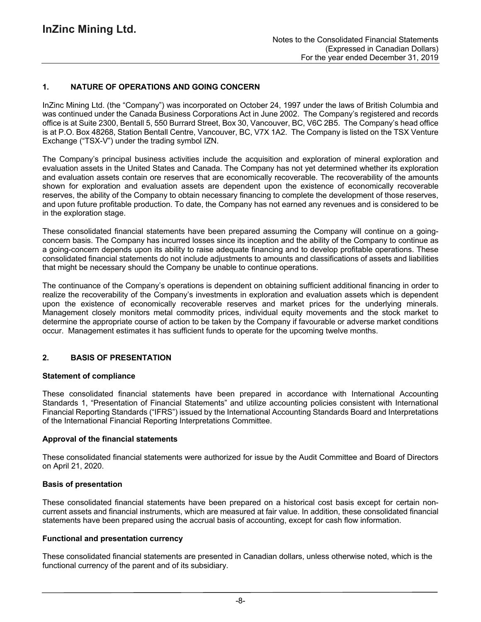## **1. NATURE OF OPERATIONS AND GOING CONCERN**

InZinc Mining Ltd. (the "Company") was incorporated on October 24, 1997 under the laws of British Columbia and was continued under the Canada Business Corporations Act in June 2002. The Company's registered and records office is at Suite 2300, Bentall 5, 550 Burrard Street, Box 30, Vancouver, BC, V6C 2B5. The Company's head office is at P.O. Box 48268, Station Bentall Centre, Vancouver, BC, V7X 1A2. The Company is listed on the TSX Venture Exchange ("TSX-V") under the trading symbol IZN.

The Company's principal business activities include the acquisition and exploration of mineral exploration and evaluation assets in the United States and Canada. The Company has not yet determined whether its exploration and evaluation assets contain ore reserves that are economically recoverable. The recoverability of the amounts shown for exploration and evaluation assets are dependent upon the existence of economically recoverable reserves, the ability of the Company to obtain necessary financing to complete the development of those reserves, and upon future profitable production. To date, the Company has not earned any revenues and is considered to be in the exploration stage.

These consolidated financial statements have been prepared assuming the Company will continue on a goingconcern basis. The Company has incurred losses since its inception and the ability of the Company to continue as a going-concern depends upon its ability to raise adequate financing and to develop profitable operations. These consolidated financial statements do not include adjustments to amounts and classifications of assets and liabilities that might be necessary should the Company be unable to continue operations.

The continuance of the Company's operations is dependent on obtaining sufficient additional financing in order to realize the recoverability of the Company's investments in exploration and evaluation assets which is dependent upon the existence of economically recoverable reserves and market prices for the underlying minerals. Management closely monitors metal commodity prices, individual equity movements and the stock market to determine the appropriate course of action to be taken by the Company if favourable or adverse market conditions occur. Management estimates it has sufficient funds to operate for the upcoming twelve months.

# **2. BASIS OF PRESENTATION**

#### **Statement of compliance**

These consolidated financial statements have been prepared in accordance with International Accounting Standards 1, "Presentation of Financial Statements" and utilize accounting policies consistent with International Financial Reporting Standards ("IFRS") issued by the International Accounting Standards Board and Interpretations of the International Financial Reporting Interpretations Committee.

#### **Approval of the financial statements**

These consolidated financial statements were authorized for issue by the Audit Committee and Board of Directors on April 21, 2020.

#### **Basis of presentation**

These consolidated financial statements have been prepared on a historical cost basis except for certain noncurrent assets and financial instruments, which are measured at fair value. In addition, these consolidated financial statements have been prepared using the accrual basis of accounting, except for cash flow information.

#### **Functional and presentation currency**

These consolidated financial statements are presented in Canadian dollars, unless otherwise noted, which is the functional currency of the parent and of its subsidiary.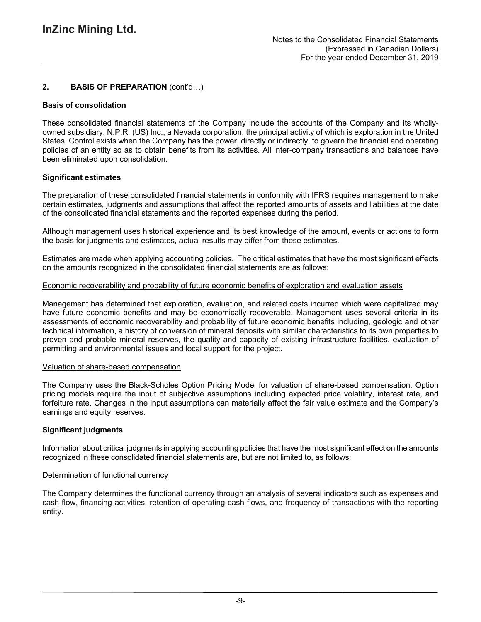# **2. BASIS OF PREPARATION** (cont'd…)

## **Basis of consolidation**

These consolidated financial statements of the Company include the accounts of the Company and its whollyowned subsidiary, N.P.R. (US) Inc., a Nevada corporation, the principal activity of which is exploration in the United States. Control exists when the Company has the power, directly or indirectly, to govern the financial and operating policies of an entity so as to obtain benefits from its activities. All inter-company transactions and balances have been eliminated upon consolidation.

## **Significant estimates**

The preparation of these consolidated financial statements in conformity with IFRS requires management to make certain estimates, judgments and assumptions that affect the reported amounts of assets and liabilities at the date of the consolidated financial statements and the reported expenses during the period.

Although management uses historical experience and its best knowledge of the amount, events or actions to form the basis for judgments and estimates, actual results may differ from these estimates.

Estimates are made when applying accounting policies. The critical estimates that have the most significant effects on the amounts recognized in the consolidated financial statements are as follows:

#### Economic recoverability and probability of future economic benefits of exploration and evaluation assets

Management has determined that exploration, evaluation, and related costs incurred which were capitalized may have future economic benefits and may be economically recoverable. Management uses several criteria in its assessments of economic recoverability and probability of future economic benefits including, geologic and other technical information, a history of conversion of mineral deposits with similar characteristics to its own properties to proven and probable mineral reserves, the quality and capacity of existing infrastructure facilities, evaluation of permitting and environmental issues and local support for the project.

#### Valuation of share-based compensation

The Company uses the Black-Scholes Option Pricing Model for valuation of share-based compensation. Option pricing models require the input of subjective assumptions including expected price volatility, interest rate, and forfeiture rate. Changes in the input assumptions can materially affect the fair value estimate and the Company's earnings and equity reserves.

#### **Significant judgments**

Information about critical judgments in applying accounting policies that have the most significant effect on the amounts recognized in these consolidated financial statements are, but are not limited to, as follows:

#### Determination of functional currency

The Company determines the functional currency through an analysis of several indicators such as expenses and cash flow, financing activities, retention of operating cash flows, and frequency of transactions with the reporting entity.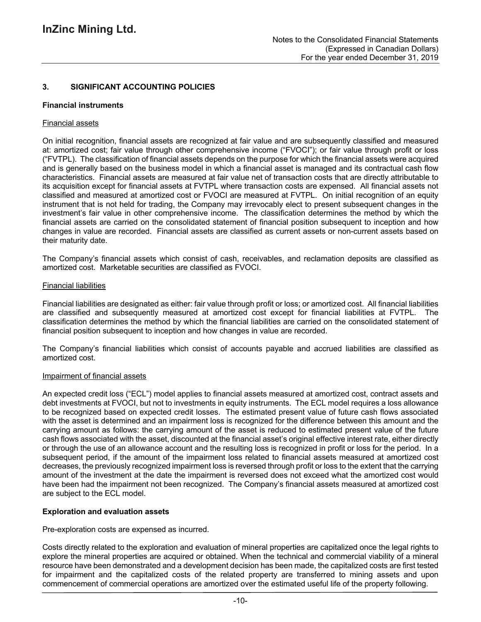# **3. SIGNIFICANT ACCOUNTING POLICIES**

## **Financial instruments**

## Financial assets

On initial recognition, financial assets are recognized at fair value and are subsequently classified and measured at: amortized cost; fair value through other comprehensive income ("FVOCI"); or fair value through profit or loss ("FVTPL). The classification of financial assets depends on the purpose for which the financial assets were acquired and is generally based on the business model in which a financial asset is managed and its contractual cash flow characteristics. Financial assets are measured at fair value net of transaction costs that are directly attributable to its acquisition except for financial assets at FVTPL where transaction costs are expensed. All financial assets not classified and measured at amortized cost or FVOCI are measured at FVTPL. On initial recognition of an equity instrument that is not held for trading, the Company may irrevocably elect to present subsequent changes in the investment's fair value in other comprehensive income. The classification determines the method by which the financial assets are carried on the consolidated statement of financial position subsequent to inception and how changes in value are recorded. Financial assets are classified as current assets or non-current assets based on their maturity date.

The Company's financial assets which consist of cash, receivables, and reclamation deposits are classified as amortized cost. Marketable securities are classified as FVOCI.

#### Financial liabilities

Financial liabilities are designated as either: fair value through profit or loss; or amortized cost. All financial liabilities are classified and subsequently measured at amortized cost except for financial liabilities at FVTPL. The classification determines the method by which the financial liabilities are carried on the consolidated statement of financial position subsequent to inception and how changes in value are recorded.

The Company's financial liabilities which consist of accounts payable and accrued liabilities are classified as amortized cost.

#### Impairment of financial assets

An expected credit loss ("ECL") model applies to financial assets measured at amortized cost, contract assets and debt investments at FVOCI, but not to investments in equity instruments. The ECL model requires a loss allowance to be recognized based on expected credit losses. The estimated present value of future cash flows associated with the asset is determined and an impairment loss is recognized for the difference between this amount and the carrying amount as follows: the carrying amount of the asset is reduced to estimated present value of the future cash flows associated with the asset, discounted at the financial asset's original effective interest rate, either directly or through the use of an allowance account and the resulting loss is recognized in profit or loss for the period. In a subsequent period, if the amount of the impairment loss related to financial assets measured at amortized cost decreases, the previously recognized impairment loss is reversed through profit or loss to the extent that the carrying amount of the investment at the date the impairment is reversed does not exceed what the amortized cost would have been had the impairment not been recognized. The Company's financial assets measured at amortized cost are subject to the ECL model.

#### **Exploration and evaluation assets**

Pre-exploration costs are expensed as incurred.

Costs directly related to the exploration and evaluation of mineral properties are capitalized once the legal rights to explore the mineral properties are acquired or obtained. When the technical and commercial viability of a mineral resource have been demonstrated and a development decision has been made, the capitalized costs are first tested for impairment and the capitalized costs of the related property are transferred to mining assets and upon commencement of commercial operations are amortized over the estimated useful life of the property following.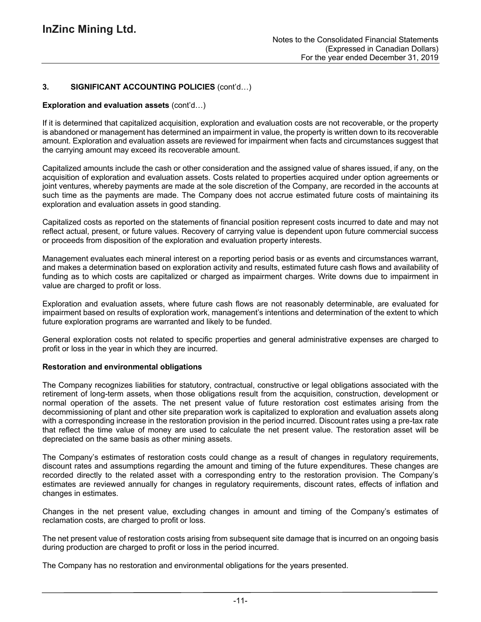# **3. SIGNIFICANT ACCOUNTING POLICIES** (cont'd…)

## **Exploration and evaluation assets (cont'd...)**

If it is determined that capitalized acquisition, exploration and evaluation costs are not recoverable, or the property is abandoned or management has determined an impairment in value, the property is written down to its recoverable amount. Exploration and evaluation assets are reviewed for impairment when facts and circumstances suggest that the carrying amount may exceed its recoverable amount.

Capitalized amounts include the cash or other consideration and the assigned value of shares issued, if any, on the acquisition of exploration and evaluation assets. Costs related to properties acquired under option agreements or joint ventures, whereby payments are made at the sole discretion of the Company, are recorded in the accounts at such time as the payments are made. The Company does not accrue estimated future costs of maintaining its exploration and evaluation assets in good standing.

Capitalized costs as reported on the statements of financial position represent costs incurred to date and may not reflect actual, present, or future values. Recovery of carrying value is dependent upon future commercial success or proceeds from disposition of the exploration and evaluation property interests.

Management evaluates each mineral interest on a reporting period basis or as events and circumstances warrant, and makes a determination based on exploration activity and results, estimated future cash flows and availability of funding as to which costs are capitalized or charged as impairment charges. Write downs due to impairment in value are charged to profit or loss.

Exploration and evaluation assets, where future cash flows are not reasonably determinable, are evaluated for impairment based on results of exploration work, management's intentions and determination of the extent to which future exploration programs are warranted and likely to be funded.

General exploration costs not related to specific properties and general administrative expenses are charged to profit or loss in the year in which they are incurred.

#### **Restoration and environmental obligations**

The Company recognizes liabilities for statutory, contractual, constructive or legal obligations associated with the retirement of long-term assets, when those obligations result from the acquisition, construction, development or normal operation of the assets. The net present value of future restoration cost estimates arising from the decommissioning of plant and other site preparation work is capitalized to exploration and evaluation assets along with a corresponding increase in the restoration provision in the period incurred. Discount rates using a pre-tax rate that reflect the time value of money are used to calculate the net present value. The restoration asset will be depreciated on the same basis as other mining assets.

The Company's estimates of restoration costs could change as a result of changes in regulatory requirements, discount rates and assumptions regarding the amount and timing of the future expenditures. These changes are recorded directly to the related asset with a corresponding entry to the restoration provision. The Company's estimates are reviewed annually for changes in regulatory requirements, discount rates, effects of inflation and changes in estimates.

Changes in the net present value, excluding changes in amount and timing of the Company's estimates of reclamation costs, are charged to profit or loss.

The net present value of restoration costs arising from subsequent site damage that is incurred on an ongoing basis during production are charged to profit or loss in the period incurred.

The Company has no restoration and environmental obligations for the years presented.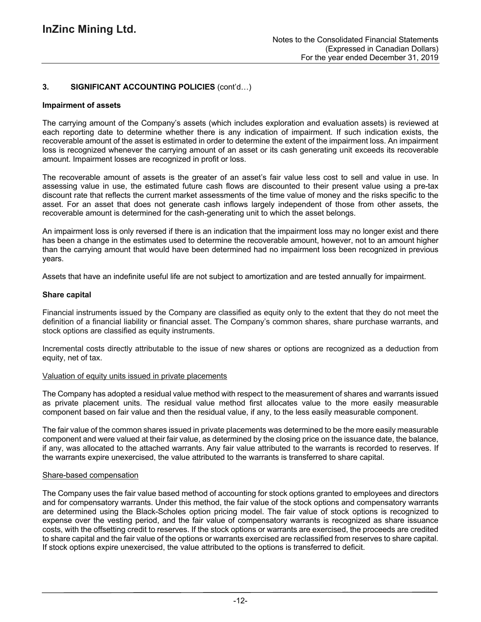# **3. SIGNIFICANT ACCOUNTING POLICIES** (cont'd…)

#### **Impairment of assets**

The carrying amount of the Company's assets (which includes exploration and evaluation assets) is reviewed at each reporting date to determine whether there is any indication of impairment. If such indication exists, the recoverable amount of the asset is estimated in order to determine the extent of the impairment loss. An impairment loss is recognized whenever the carrying amount of an asset or its cash generating unit exceeds its recoverable amount. Impairment losses are recognized in profit or loss.

The recoverable amount of assets is the greater of an asset's fair value less cost to sell and value in use. In assessing value in use, the estimated future cash flows are discounted to their present value using a pre-tax discount rate that reflects the current market assessments of the time value of money and the risks specific to the asset. For an asset that does not generate cash inflows largely independent of those from other assets, the recoverable amount is determined for the cash-generating unit to which the asset belongs.

An impairment loss is only reversed if there is an indication that the impairment loss may no longer exist and there has been a change in the estimates used to determine the recoverable amount, however, not to an amount higher than the carrying amount that would have been determined had no impairment loss been recognized in previous years.

Assets that have an indefinite useful life are not subject to amortization and are tested annually for impairment.

## **Share capital**

Financial instruments issued by the Company are classified as equity only to the extent that they do not meet the definition of a financial liability or financial asset. The Company's common shares, share purchase warrants, and stock options are classified as equity instruments.

Incremental costs directly attributable to the issue of new shares or options are recognized as a deduction from equity, net of tax.

#### Valuation of equity units issued in private placements

The Company has adopted a residual value method with respect to the measurement of shares and warrants issued as private placement units. The residual value method first allocates value to the more easily measurable component based on fair value and then the residual value, if any, to the less easily measurable component.

The fair value of the common shares issued in private placements was determined to be the more easily measurable component and were valued at their fair value, as determined by the closing price on the issuance date, the balance, if any, was allocated to the attached warrants. Any fair value attributed to the warrants is recorded to reserves. If the warrants expire unexercised, the value attributed to the warrants is transferred to share capital.

#### Share-based compensation

The Company uses the fair value based method of accounting for stock options granted to employees and directors and for compensatory warrants. Under this method, the fair value of the stock options and compensatory warrants are determined using the Black-Scholes option pricing model. The fair value of stock options is recognized to expense over the vesting period, and the fair value of compensatory warrants is recognized as share issuance costs, with the offsetting credit to reserves. If the stock options or warrants are exercised, the proceeds are credited to share capital and the fair value of the options or warrants exercised are reclassified from reserves to share capital. If stock options expire unexercised, the value attributed to the options is transferred to deficit.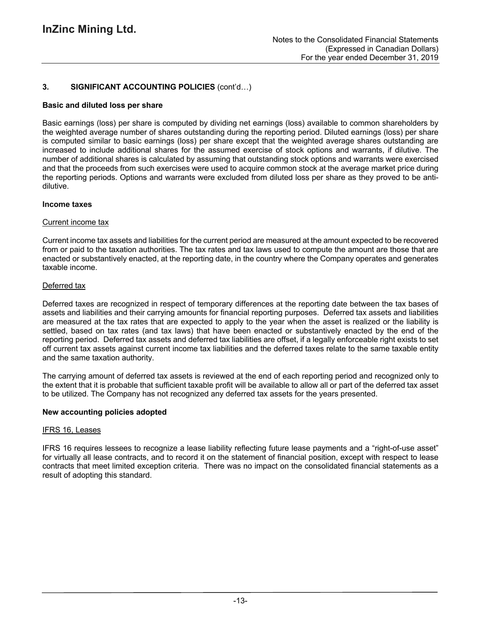# **3. SIGNIFICANT ACCOUNTING POLICIES** (cont'd…)

## **Basic and diluted loss per share**

Basic earnings (loss) per share is computed by dividing net earnings (loss) available to common shareholders by the weighted average number of shares outstanding during the reporting period. Diluted earnings (loss) per share is computed similar to basic earnings (loss) per share except that the weighted average shares outstanding are increased to include additional shares for the assumed exercise of stock options and warrants, if dilutive. The number of additional shares is calculated by assuming that outstanding stock options and warrants were exercised and that the proceeds from such exercises were used to acquire common stock at the average market price during the reporting periods. Options and warrants were excluded from diluted loss per share as they proved to be antidilutive.

#### **Income taxes**

## Current income tax

Current income tax assets and liabilities for the current period are measured at the amount expected to be recovered from or paid to the taxation authorities. The tax rates and tax laws used to compute the amount are those that are enacted or substantively enacted, at the reporting date, in the country where the Company operates and generates taxable income.

## Deferred tax

Deferred taxes are recognized in respect of temporary differences at the reporting date between the tax bases of assets and liabilities and their carrying amounts for financial reporting purposes. Deferred tax assets and liabilities are measured at the tax rates that are expected to apply to the year when the asset is realized or the liability is settled, based on tax rates (and tax laws) that have been enacted or substantively enacted by the end of the reporting period. Deferred tax assets and deferred tax liabilities are offset, if a legally enforceable right exists to set off current tax assets against current income tax liabilities and the deferred taxes relate to the same taxable entity and the same taxation authority.

The carrying amount of deferred tax assets is reviewed at the end of each reporting period and recognized only to the extent that it is probable that sufficient taxable profit will be available to allow all or part of the deferred tax asset to be utilized. The Company has not recognized any deferred tax assets for the years presented.

# **New accounting policies adopted**

#### IFRS 16, Leases

IFRS 16 requires lessees to recognize a lease liability reflecting future lease payments and a "right-of-use asset" for virtually all lease contracts, and to record it on the statement of financial position, except with respect to lease contracts that meet limited exception criteria. There was no impact on the consolidated financial statements as a result of adopting this standard.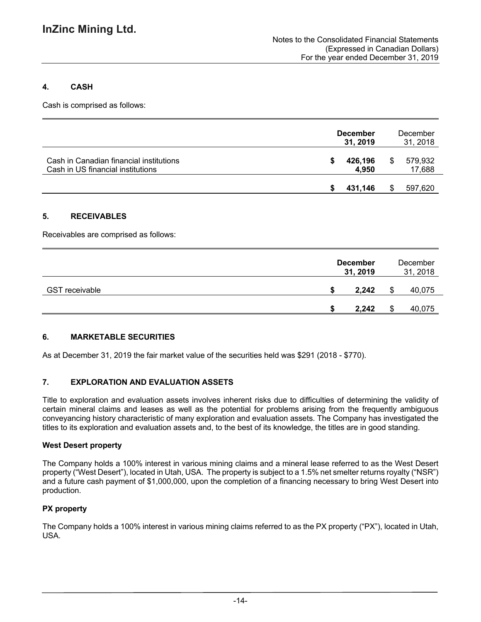# **4. CASH**

Cash is comprised as follows:

|                                                                              | <b>December</b><br>31, 2019 |                  |   | December<br>31, 2018 |  |  |
|------------------------------------------------------------------------------|-----------------------------|------------------|---|----------------------|--|--|
| Cash in Canadian financial institutions<br>Cash in US financial institutions |                             | 426,196<br>4,950 | S | 579,932<br>17,688    |  |  |
|                                                                              |                             | 431.146          |   | 597,620              |  |  |

## **5. RECEIVABLES**

Receivables are comprised as follows:

|                       |   | <b>December</b><br>31, 2019 | December<br>31, 2018 |        |  |
|-----------------------|---|-----------------------------|----------------------|--------|--|
| <b>GST</b> receivable |   | 2,242                       | S                    | 40,075 |  |
|                       | S | 2,242                       | S                    | 40,075 |  |

# **6. MARKETABLE SECURITIES**

As at December 31, 2019 the fair market value of the securities held was \$291 (2018 - \$770).

# **7. EXPLORATION AND EVALUATION ASSETS**

Title to exploration and evaluation assets involves inherent risks due to difficulties of determining the validity of certain mineral claims and leases as well as the potential for problems arising from the frequently ambiguous conveyancing history characteristic of many exploration and evaluation assets. The Company has investigated the titles to its exploration and evaluation assets and, to the best of its knowledge, the titles are in good standing.

#### **West Desert property**

The Company holds a 100% interest in various mining claims and a mineral lease referred to as the West Desert property ("West Desert"), located in Utah, USA. The property is subject to a 1.5% net smelter returns royalty ("NSR") and a future cash payment of \$1,000,000, upon the completion of a financing necessary to bring West Desert into production.

# **PX property**

The Company holds a 100% interest in various mining claims referred to as the PX property ("PX"), located in Utah, USA.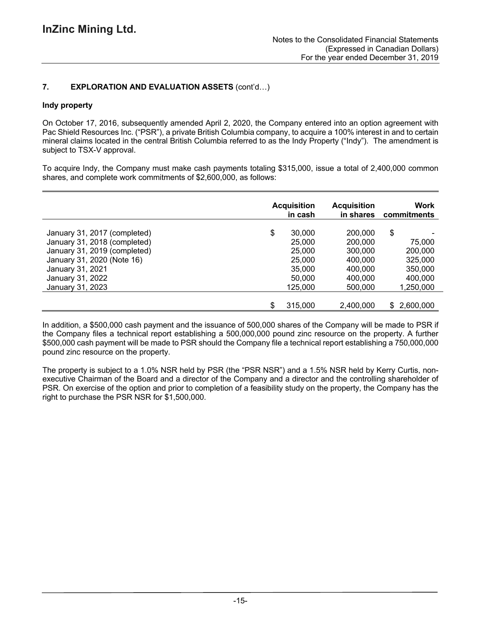# **7. EXPLORATION AND EVALUATION ASSETS** (cont'd…)

## **Indy property**

On October 17, 2016, subsequently amended April 2, 2020, the Company entered into an option agreement with Pac Shield Resources Inc. ("PSR"), a private British Columbia company, to acquire a 100% interest in and to certain mineral claims located in the central British Columbia referred to as the Indy Property ("Indy"). The amendment is subject to TSX-V approval.

To acquire Indy, the Company must make cash payments totaling \$315,000, issue a total of 2,400,000 common shares, and complete work commitments of \$2,600,000, as follows:

|                              | <b>Acquisition</b><br>in cash |           | Work<br>commitments |
|------------------------------|-------------------------------|-----------|---------------------|
| January 31, 2017 (completed) | \$<br>30,000                  | 200,000   | \$                  |
| January 31, 2018 (completed) | 25,000                        | 200,000   | 75,000              |
| January 31, 2019 (completed) | 25,000                        | 300,000   | 200,000             |
| January 31, 2020 (Note 16)   | 25,000                        | 400,000   | 325,000             |
| January 31, 2021             | 35,000                        | 400,000   | 350,000             |
| January 31, 2022             | 50,000                        | 400,000   | 400,000             |
| January 31, 2023             | 125,000                       | 500,000   | 1,250,000           |
|                              |                               |           |                     |
|                              | \$<br>315,000                 | 2.400.000 | \$ 2.600,000        |

In addition, a \$500,000 cash payment and the issuance of 500,000 shares of the Company will be made to PSR if the Company files a technical report establishing a 500,000,000 pound zinc resource on the property. A further \$500,000 cash payment will be made to PSR should the Company file a technical report establishing a 750,000,000 pound zinc resource on the property.

The property is subject to a 1.0% NSR held by PSR (the "PSR NSR") and a 1.5% NSR held by Kerry Curtis, nonexecutive Chairman of the Board and a director of the Company and a director and the controlling shareholder of PSR. On exercise of the option and prior to completion of a feasibility study on the property, the Company has the right to purchase the PSR NSR for \$1,500,000.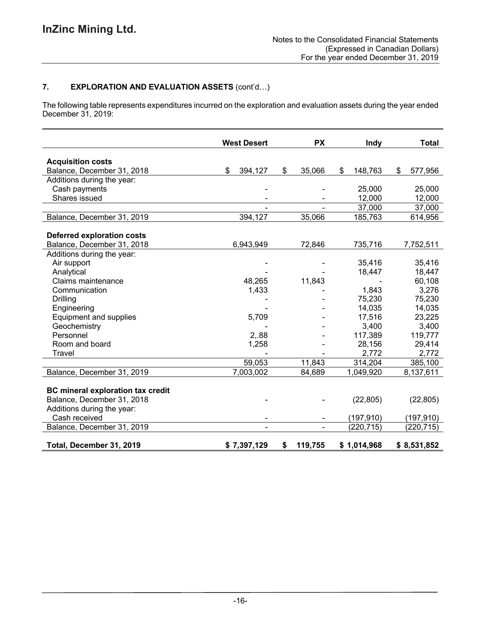# **7. EXPLORATION AND EVALUATION ASSETS** (cont'd…)

The following table represents expenditures incurred on the exploration and evaluation assets during the year ended December 31, 2019:

|                                                                                                                       | <b>West Desert</b> | <b>PX</b>      | Indy                    | <b>Total</b>            |
|-----------------------------------------------------------------------------------------------------------------------|--------------------|----------------|-------------------------|-------------------------|
|                                                                                                                       |                    |                |                         |                         |
| <b>Acquisition costs</b>                                                                                              | \$                 |                |                         |                         |
| Balance, December 31, 2018                                                                                            | 394,127            | \$<br>35,066   | \$<br>148,763           | \$<br>577,956           |
| Additions during the year:                                                                                            |                    |                |                         |                         |
| Cash payments<br>Shares issued                                                                                        |                    |                | 25,000                  | 25,000                  |
|                                                                                                                       |                    |                | 12,000                  | 12,000                  |
|                                                                                                                       |                    |                | 37,000                  | 37,000                  |
| Balance, December 31, 2019                                                                                            | 394,127            | 35,066         | 185,763                 | 614,956                 |
| <b>Deferred exploration costs</b>                                                                                     |                    |                |                         |                         |
| Balance, December 31, 2018                                                                                            | 6,943,949          | 72,846         | 735,716                 | 7,752,511               |
| Additions during the year:                                                                                            |                    |                |                         |                         |
| Air support                                                                                                           |                    |                | 35,416                  | 35,416                  |
| Analytical                                                                                                            |                    |                | 18,447                  | 18,447                  |
| Claims maintenance                                                                                                    | 48,265             | 11,843         |                         | 60,108                  |
| Communication                                                                                                         | 1,433              |                | 1,843                   | 3,276                   |
| <b>Drilling</b>                                                                                                       |                    |                | 75,230                  | 75,230                  |
| Engineering                                                                                                           |                    |                | 14,035                  | 14,035                  |
| Equipment and supplies                                                                                                | 5,709              |                | 17,516                  | 23,225                  |
| Geochemistry                                                                                                          |                    |                | 3,400                   | 3,400                   |
| Personnel                                                                                                             | 2,.88              |                | 117,389                 | 119,777                 |
| Room and board                                                                                                        | 1,258              |                | 28,156                  | 29,414                  |
| Travel                                                                                                                |                    |                | 2,772                   | 2,772                   |
|                                                                                                                       | 59,053             | 11,843         | 314,204                 | 385,100                 |
| Balance, December 31, 2019                                                                                            | 7,003,002          | 84,689         | 1,049,920               | 8,137,611               |
| <b>BC</b> mineral exploration tax credit<br>Balance, December 31, 2018<br>Additions during the year:<br>Cash received |                    | $\blacksquare$ | (22, 805)<br>(197, 910) | (22, 805)<br>(197, 910) |
| Balance, December 31, 2019                                                                                            |                    |                | (220, 715)              | (220, 715)              |
|                                                                                                                       |                    |                |                         |                         |
| Total, December 31, 2019                                                                                              | \$7,397,129        | \$<br>119,755  | \$1,014,968             | \$8,531,852             |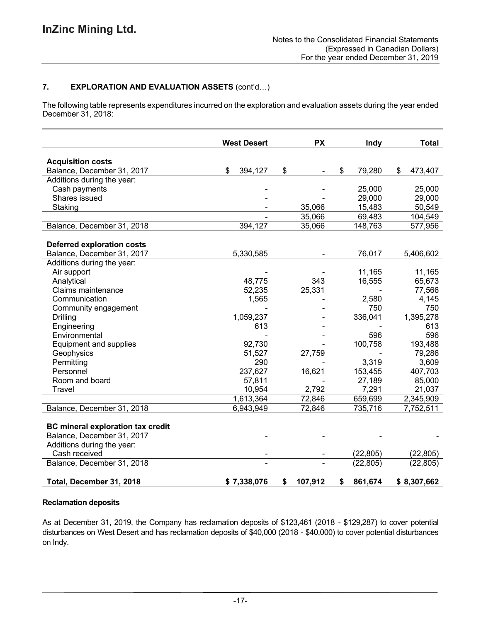# **7. EXPLORATION AND EVALUATION ASSETS** (cont'd…)

The following table represents expenditures incurred on the exploration and evaluation assets during the year ended December 31, 2018:

|                                                                 | <b>West Desert</b>       | <b>PX</b>                    | Indy          | <b>Total</b>    |
|-----------------------------------------------------------------|--------------------------|------------------------------|---------------|-----------------|
|                                                                 |                          |                              |               |                 |
| <b>Acquisition costs</b>                                        |                          |                              |               |                 |
| Balance, December 31, 2017                                      | \$<br>394,127            | \$                           | \$<br>79,280  | \$<br>473,407   |
| Additions during the year:                                      |                          |                              |               |                 |
| Cash payments                                                   |                          |                              | 25,000        | 25,000          |
| Shares issued                                                   |                          |                              | 29,000        | 29,000          |
| Staking                                                         |                          | 35,066                       | 15,483        | 50,549          |
|                                                                 |                          | 35,066                       | 69,483        | 104,549         |
| Balance, December 31, 2018                                      | 394,127                  | 35,066                       | 148,763       | 577,956         |
|                                                                 |                          |                              |               |                 |
| <b>Deferred exploration costs</b><br>Balance, December 31, 2017 | 5,330,585                | $\blacksquare$               | 76,017        | 5,406,602       |
|                                                                 |                          |                              |               |                 |
| Additions during the year:                                      |                          |                              | 11,165        | 11,165          |
| Air support<br>Analytical                                       | 48,775                   | 343                          | 16,555        | 65,673          |
| Claims maintenance                                              |                          |                              |               |                 |
| Communication                                                   | 52,235<br>1,565          | 25,331                       | 2,580         | 77,566<br>4,145 |
| Community engagement                                            |                          |                              | 750           | 750             |
| Drilling                                                        | 1,059,237                |                              | 336,041       | 1,395,278       |
| Engineering                                                     | 613                      |                              |               | 613             |
| Environmental                                                   |                          |                              | 596           | 596             |
| Equipment and supplies                                          | 92,730                   |                              | 100,758       | 193,488         |
| Geophysics                                                      | 51,527                   | 27,759                       |               | 79,286          |
| Permitting                                                      | 290                      |                              | 3,319         | 3,609           |
| Personnel                                                       | 237,627                  | 16,621                       | 153,455       | 407,703         |
| Room and board                                                  | 57,811                   |                              | 27,189        | 85,000          |
| Travel                                                          | 10,954                   | 2,792                        | 7,291         | 21,037          |
|                                                                 | 1,613,364                | 72,846                       | 659,699       | 2,345,909       |
| Balance, December 31, 2018                                      | 6,943,949                | 72,846                       | 735,716       | 7,752,511       |
|                                                                 |                          |                              |               |                 |
| <b>BC mineral exploration tax credit</b>                        |                          |                              |               |                 |
| Balance, December 31, 2017                                      |                          |                              |               |                 |
| Additions during the year:                                      |                          |                              |               |                 |
| Cash received                                                   | $\blacksquare$           | $\blacksquare$               | (22, 805)     | (22, 805)       |
| Balance, December 31, 2018                                      | $\overline{\phantom{0}}$ | $\qquad \qquad \blacksquare$ | (22, 805)     | (22, 805)       |
|                                                                 |                          |                              |               |                 |
| Total, December 31, 2018                                        | \$7,338,076              | \$<br>107,912                | \$<br>861,674 | \$8,307,662     |

#### **Reclamation deposits**

As at December 31, 2019, the Company has reclamation deposits of \$123,461 (2018 - \$129,287) to cover potential disturbances on West Desert and has reclamation deposits of \$40,000 (2018 - \$40,000) to cover potential disturbances on Indy.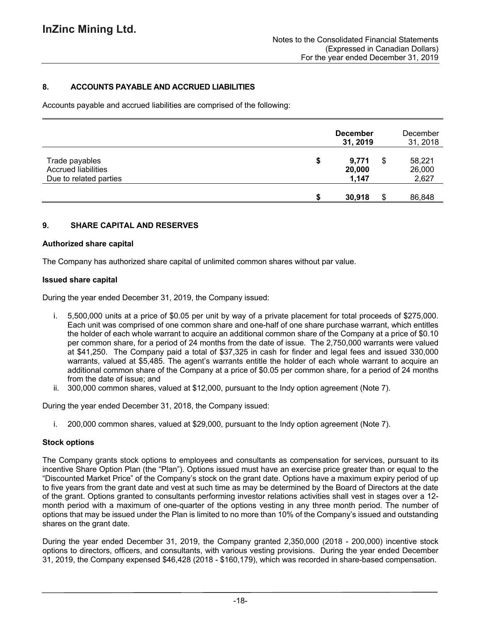# **8. ACCOUNTS PAYABLE AND ACCRUED LIABILITIES**

Accounts payable and accrued liabilities are comprised of the following:

|                                                                        | <b>December</b><br>31, 2019    | December<br>31, 2018            |
|------------------------------------------------------------------------|--------------------------------|---------------------------------|
| Trade payables<br><b>Accrued liabilities</b><br>Due to related parties | \$<br>9,771<br>20,000<br>1,147 | \$<br>58,221<br>26,000<br>2,627 |
|                                                                        | 30,918                         | 86,848                          |

## **9. SHARE CAPITAL AND RESERVES**

#### **Authorized share capital**

The Company has authorized share capital of unlimited common shares without par value.

#### **Issued share capital**

During the year ended December 31, 2019, the Company issued:

- i. 5,500,000 units at a price of \$0.05 per unit by way of a private placement for total proceeds of \$275,000. Each unit was comprised of one common share and one-half of one share purchase warrant, which entitles the holder of each whole warrant to acquire an additional common share of the Company at a price of \$0.10 per common share, for a period of 24 months from the date of issue. The 2,750,000 warrants were valued at \$41,250. The Company paid a total of \$37,325 in cash for finder and legal fees and issued 330,000 warrants, valued at \$5,485. The agent's warrants entitle the holder of each whole warrant to acquire an additional common share of the Company at a price of \$0.05 per common share, for a period of 24 months from the date of issue; and
- ii. 300,000 common shares, valued at \$12,000, pursuant to the Indy option agreement (Note 7).

During the year ended December 31, 2018, the Company issued:

i. 200,000 common shares, valued at \$29,000, pursuant to the Indy option agreement (Note 7).

#### **Stock options**

The Company grants stock options to employees and consultants as compensation for services, pursuant to its incentive Share Option Plan (the "Plan"). Options issued must have an exercise price greater than or equal to the "Discounted Market Price" of the Company's stock on the grant date. Options have a maximum expiry period of up to five years from the grant date and vest at such time as may be determined by the Board of Directors at the date of the grant. Options granted to consultants performing investor relations activities shall vest in stages over a 12 month period with a maximum of one-quarter of the options vesting in any three month period. The number of options that may be issued under the Plan is limited to no more than 10% of the Company's issued and outstanding shares on the grant date.

During the year ended December 31, 2019, the Company granted 2,350,000 (2018 - 200,000) incentive stock options to directors, officers, and consultants, with various vesting provisions. During the year ended December 31, 2019, the Company expensed \$46,428 (2018 - \$160,179), which was recorded in share-based compensation.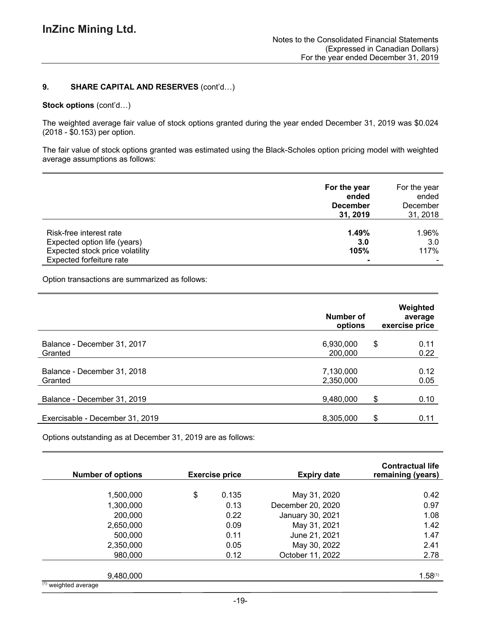## **9. SHARE CAPITAL AND RESERVES** (cont'd…)

## **Stock options** (cont'd…)

The weighted average fair value of stock options granted during the year ended December 31, 2019 was \$0.024 (2018 - \$0.153) per option.

The fair value of stock options granted was estimated using the Black-Scholes option pricing model with weighted average assumptions as follows:

|                                                                                                                        | For the year<br>ended<br><b>December</b><br>31, 2019 | For the year<br>ended<br>December<br>31, 2018 |
|------------------------------------------------------------------------------------------------------------------------|------------------------------------------------------|-----------------------------------------------|
| Risk-free interest rate<br>Expected option life (years)<br>Expected stock price volatility<br>Expected forfeiture rate | 1.49%<br>3.0<br>105%                                 | 1.96%<br>3.0<br>117%                          |

Option transactions are summarized as follows:

|                                        | Number of<br>options   | Weighted<br>average<br>exercise price |
|----------------------------------------|------------------------|---------------------------------------|
| Balance - December 31, 2017<br>Granted | 6,930,000<br>200,000   | \$<br>0.11<br>0.22                    |
| Balance - December 31, 2018<br>Granted | 7,130,000<br>2,350,000 | 0.12<br>0.05                          |
| Balance - December 31, 2019            | 9,480,000              | \$<br>0.10                            |
| Exercisable - December 31, 2019        | 8,305,000              | \$<br>0.11                            |

Options outstanding as at December 31, 2019 are as follows:

| <b>Number of options</b> |    | <b>Exercise price</b> | <b>Expiry date</b> | <b>Contractual life</b><br>remaining (years) |
|--------------------------|----|-----------------------|--------------------|----------------------------------------------|
|                          |    |                       |                    |                                              |
| 1,500,000                | \$ | 0.135                 | May 31, 2020       | 0.42                                         |
| 1,300,000                |    | 0.13                  | December 20, 2020  | 0.97                                         |
| 200,000                  |    | 0.22                  | January 30, 2021   | 1.08                                         |
| 2,650,000                |    | 0.09                  | May 31, 2021       | 1.42                                         |
| 500,000                  |    | 0.11                  | June 21, 2021      | 1.47                                         |
| 2,350,000                |    | 0.05                  | May 30, 2022       | 2.41                                         |
| 980,000                  |    | 0.12                  | October 11, 2022   | 2.78                                         |
| 9,480,000                |    |                       |                    | 1.58(1)                                      |
| $(1)$ weighted average   |    |                       |                    |                                              |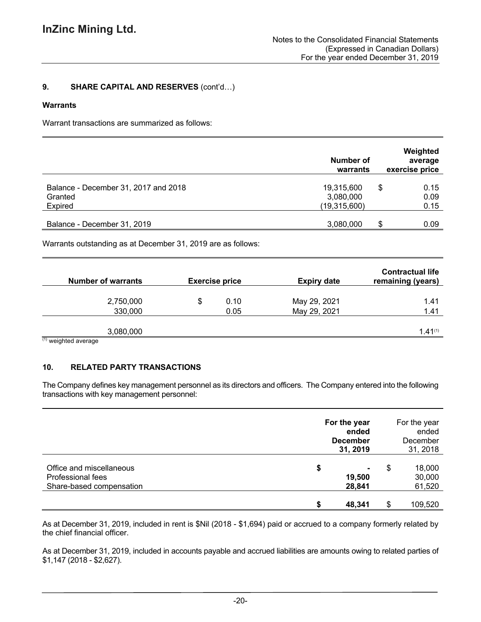# **9. SHARE CAPITAL AND RESERVES** (cont'd…)

#### **Warrants**

Warrant transactions are summarized as follows:

|                                                            | <b>Number of</b><br>warrants              | Weighted<br>average<br>exercise price |
|------------------------------------------------------------|-------------------------------------------|---------------------------------------|
| Balance - December 31, 2017 and 2018<br>Granted<br>Expired | 19,315,600<br>3,080,000<br>(19, 315, 600) | \$<br>0.15<br>0.09<br>0.15            |
| Balance - December 31, 2019                                | 3,080,000                                 | \$<br>0.09                            |

Warrants outstanding as at December 31, 2019 are as follows:

|                        | <b>Number of warrants</b> |   | <b>Exercise price</b> | <b>Expiry date</b> | <b>Contractual life</b><br>remaining (years) |
|------------------------|---------------------------|---|-----------------------|--------------------|----------------------------------------------|
|                        |                           |   |                       |                    |                                              |
|                        | 2,750,000                 | S | 0.10                  | May 29, 2021       | 1.41                                         |
|                        | 330,000                   |   | 0.05                  | May 29, 2021       | 1.41                                         |
|                        |                           |   |                       |                    |                                              |
|                        | 3,080,000                 |   |                       |                    | $1.41^{(1)}$                                 |
| $(1)$ woighted overage |                           |   |                       |                    |                                              |

<sup>0</sup> weighted average

## **10. RELATED PARTY TRANSACTIONS**

The Company defines key management personnel as its directors and officers. The Company entered into the following transactions with key management personnel:

|                                                                           | For the year<br>ended<br><b>December</b><br>31, 2019 |                       | For the year<br>ended<br>December<br>31, 2018 |                            |
|---------------------------------------------------------------------------|------------------------------------------------------|-----------------------|-----------------------------------------------|----------------------------|
| Office and miscellaneous<br>Professional fees<br>Share-based compensation | \$                                                   | ۰<br>19,500<br>28,841 | \$.                                           | 18,000<br>30,000<br>61,520 |
|                                                                           | S                                                    | 48,341                |                                               | 109,520                    |

As at December 31, 2019, included in rent is \$Nil (2018 - \$1,694) paid or accrued to a company formerly related by the chief financial officer.

As at December 31, 2019, included in accounts payable and accrued liabilities are amounts owing to related parties of \$1,147 (2018 - \$2,627).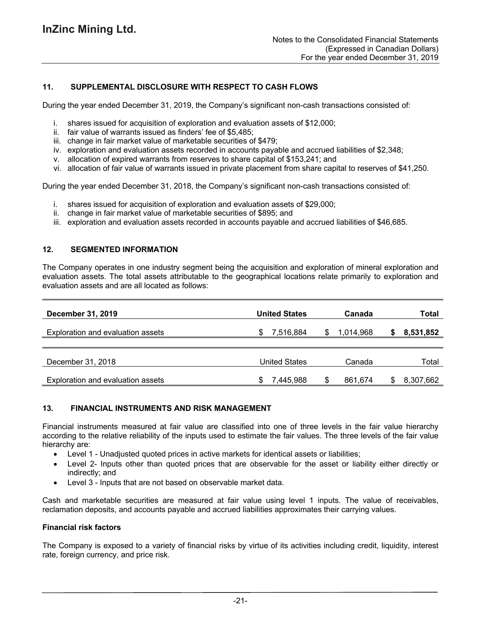# **11. SUPPLEMENTAL DISCLOSURE WITH RESPECT TO CASH FLOWS**

During the year ended December 31, 2019, the Company's significant non-cash transactions consisted of:

- i. shares issued for acquisition of exploration and evaluation assets of \$12,000;
- ii. fair value of warrants issued as finders' fee of \$5,485;
- iii. change in fair market value of marketable securities of \$479;
- iv. exploration and evaluation assets recorded in accounts payable and accrued liabilities of \$2,348;
- v. allocation of expired warrants from reserves to share capital of \$153,241; and
- vi. allocation of fair value of warrants issued in private placement from share capital to reserves of \$41,250.

During the year ended December 31, 2018, the Company's significant non-cash transactions consisted of:

- i. shares issued for acquisition of exploration and evaluation assets of \$29,000;
- ii. change in fair market value of marketable securities of \$895; and
- iii. exploration and evaluation assets recorded in accounts payable and accrued liabilities of \$46,685.

#### **12. SEGMENTED INFORMATION**

The Company operates in one industry segment being the acquisition and exploration of mineral exploration and evaluation assets. The total assets attributable to the geographical locations relate primarily to exploration and evaluation assets and are all located as follows:

| <b>December 31, 2019</b>          | <b>United States</b> | Canada    | Total             |
|-----------------------------------|----------------------|-----------|-------------------|
| Exploration and evaluation assets | 7,516,884            | 1,014,968 | 8,531 <u>,852</u> |
|                                   |                      |           |                   |
| December 31, 2018                 | <b>United States</b> | Canada    | Total             |
| Exploration and evaluation assets | 7,445,988            | 861.674   | 8,307,662         |

#### **13. FINANCIAL INSTRUMENTS AND RISK MANAGEMENT**

Financial instruments measured at fair value are classified into one of three levels in the fair value hierarchy according to the relative reliability of the inputs used to estimate the fair values. The three levels of the fair value hierarchy are:

- Level 1 Unadjusted quoted prices in active markets for identical assets or liabilities;
- Level 2- Inputs other than quoted prices that are observable for the asset or liability either directly or indirectly; and
- Level 3 Inputs that are not based on observable market data.

Cash and marketable securities are measured at fair value using level 1 inputs. The value of receivables, reclamation deposits, and accounts payable and accrued liabilities approximates their carrying values.

#### **Financial risk factors**

The Company is exposed to a variety of financial risks by virtue of its activities including credit, liquidity, interest rate, foreign currency, and price risk.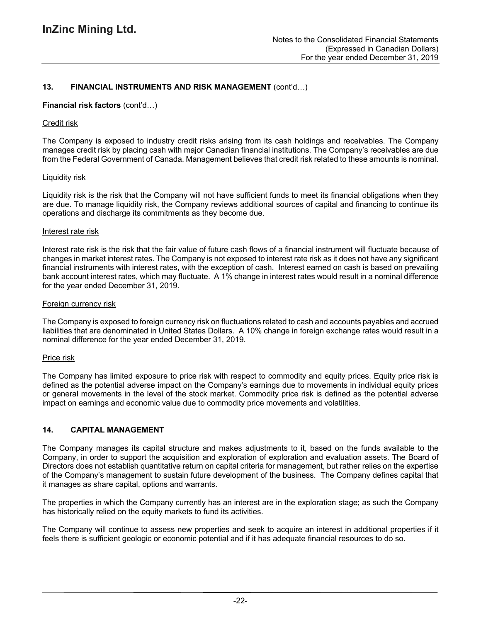# **13. FINANCIAL INSTRUMENTS AND RISK MANAGEMENT** (cont'd…)

## **Financial risk factors** (cont'd…)

#### Credit risk

The Company is exposed to industry credit risks arising from its cash holdings and receivables. The Company manages credit risk by placing cash with major Canadian financial institutions. The Company's receivables are due from the Federal Government of Canada. Management believes that credit risk related to these amounts is nominal.

## Liquidity risk

Liquidity risk is the risk that the Company will not have sufficient funds to meet its financial obligations when they are due. To manage liquidity risk, the Company reviews additional sources of capital and financing to continue its operations and discharge its commitments as they become due.

#### Interest rate risk

Interest rate risk is the risk that the fair value of future cash flows of a financial instrument will fluctuate because of changes in market interest rates. The Company is not exposed to interest rate risk as it does not have any significant financial instruments with interest rates, with the exception of cash. Interest earned on cash is based on prevailing bank account interest rates, which may fluctuate. A 1% change in interest rates would result in a nominal difference for the year ended December 31, 2019.

#### Foreign currency risk

The Company is exposed to foreign currency risk on fluctuations related to cash and accounts payables and accrued liabilities that are denominated in United States Dollars. A 10% change in foreign exchange rates would result in a nominal difference for the year ended December 31, 2019.

#### Price risk

The Company has limited exposure to price risk with respect to commodity and equity prices. Equity price risk is defined as the potential adverse impact on the Company's earnings due to movements in individual equity prices or general movements in the level of the stock market. Commodity price risk is defined as the potential adverse impact on earnings and economic value due to commodity price movements and volatilities.

#### **14. CAPITAL MANAGEMENT**

The Company manages its capital structure and makes adjustments to it, based on the funds available to the Company, in order to support the acquisition and exploration of exploration and evaluation assets. The Board of Directors does not establish quantitative return on capital criteria for management, but rather relies on the expertise of the Company's management to sustain future development of the business. The Company defines capital that it manages as share capital, options and warrants.

The properties in which the Company currently has an interest are in the exploration stage; as such the Company has historically relied on the equity markets to fund its activities.

The Company will continue to assess new properties and seek to acquire an interest in additional properties if it feels there is sufficient geologic or economic potential and if it has adequate financial resources to do so.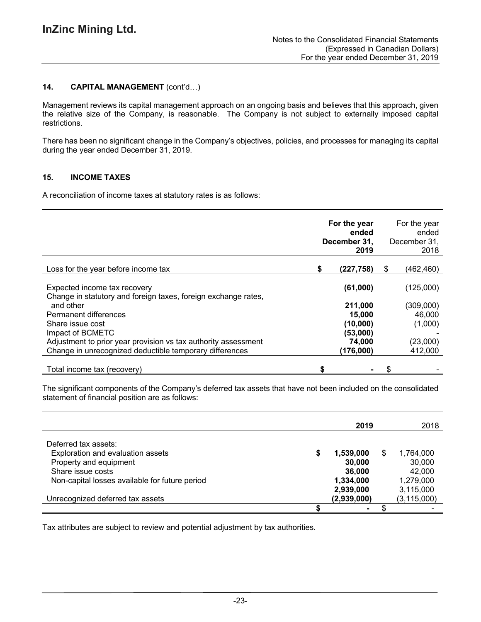# 14. **CAPITAL MANAGEMENT** (cont'd...)

Management reviews its capital management approach on an ongoing basis and believes that this approach, given the relative size of the Company, is reasonable. The Company is not subject to externally imposed capital restrictions.

There has been no significant change in the Company's objectives, policies, and processes for managing its capital during the year ended December 31, 2019.

# **15. INCOME TAXES**

A reconciliation of income taxes at statutory rates is as follows:

|                                                                                                | For the year<br>ended<br>December 31,<br>2019 |                    | For the year<br>ended<br>December 31,<br>2018 |                   |
|------------------------------------------------------------------------------------------------|-----------------------------------------------|--------------------|-----------------------------------------------|-------------------|
| Loss for the year before income tax                                                            | S.                                            | (227,758)          | \$                                            | (462,460)         |
| Expected income tax recovery<br>Change in statutory and foreign taxes, foreign exchange rates, |                                               | (61,000)           |                                               | (125,000)         |
| and other                                                                                      |                                               | 211,000            |                                               | (309,000)         |
| Permanent differences<br>Share issue cost                                                      |                                               | 15,000<br>(10,000) |                                               | 46,000<br>(1,000) |
| Impact of BCMETC                                                                               |                                               | (53,000)           |                                               |                   |
| Adjustment to prior year provision vs tax authority assessment                                 |                                               | 74,000             |                                               | (23,000)          |
| Change in unrecognized deductible temporary differences                                        |                                               | (176,000)          |                                               | 412,000           |
| Total income tax (recovery)                                                                    | 5                                             |                    |                                               |                   |

The significant components of the Company's deferred tax assets that have not been included on the consolidated statement of financial position are as follows:

|                                                | 2019        | 2018 |               |
|------------------------------------------------|-------------|------|---------------|
| Deferred tax assets:                           |             |      |               |
| Exploration and evaluation assets              | 1,539,000   | S    | 1,764,000     |
| Property and equipment                         | 30,000      |      | 30,000        |
| Share issue costs                              | 36,000      |      | 42,000        |
| Non-capital losses available for future period | 1,334,000   |      | 1,279,000     |
|                                                | 2,939,000   |      | 3,115,000     |
| Unrecognized deferred tax assets               | (2,939,000) |      | (3, 115, 000) |
|                                                |             |      |               |

Tax attributes are subject to review and potential adjustment by tax authorities.